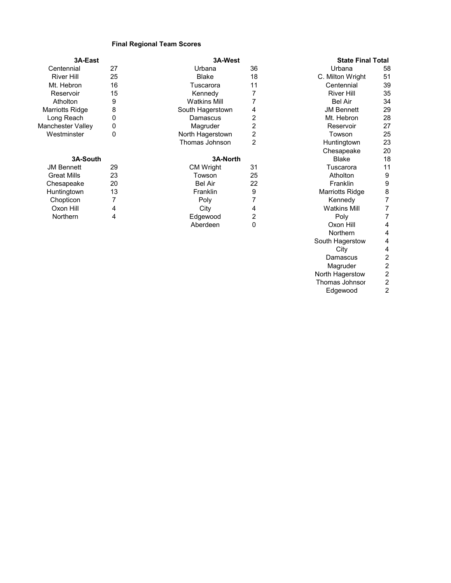## **Final Regional Team Scores**

| 3A-East            |    | 3A-West             |                | <b>State Final Total</b> |                  |
|--------------------|----|---------------------|----------------|--------------------------|------------------|
| Centennial         | 27 | Urbana              | 36             | Urbana                   | 58               |
| <b>River Hill</b>  | 25 | <b>Blake</b>        | 18             | C. Milton Wright         | 51               |
| Mt. Hebron         | 16 | Tuscarora           | 11             | Centennial               | 39               |
| Reservoir          | 15 | Kennedy             | 7              | <b>River Hill</b>        | 35               |
| Atholton           | 9  | <b>Watkins Mill</b> |                | <b>Bel Air</b>           | 34               |
| Marriotts Ridge    | 8  | South Hagerstown    | 4              | <b>JM Bennett</b>        | 29               |
| Long Reach         | 0  | Damascus            | 2              | Mt. Hebron               | 28               |
| Manchester Valley  | 0  | Magruder            | 2              | Reservoir                | 27               |
| Westminster        | 0  | North Hagerstown    | $\overline{2}$ | Towson                   | 25               |
|                    |    | Thomas Johnson      | 2              | Huntingtown              | 23               |
|                    |    |                     |                | Chesapeake               | 20               |
| 3A-South           |    | 3A-North            |                | <b>Blake</b>             | 18               |
| <b>JM Bennett</b>  | 29 | <b>CM Wright</b>    | 31             | Tuscarora                | 11               |
| <b>Great Mills</b> | 23 | Towson              | 25             | Atholton                 | 9                |
| Chesapeake         | 20 | <b>Bel Air</b>      | 22             | Franklin                 | $\boldsymbol{9}$ |
| Huntingtown        | 13 | Franklin            | 9              | Marriotts Ridge          | $\bf 8$          |
| Chopticon          | 7  | Poly                | 7              | Kennedy                  | 7                |
| Oxon Hill          | 4  | City                | 4              | <b>Watkins Mill</b>      | 7                |
| Northern           | 4  | Edgewood            | 2              | Poly                     | 7                |
|                    |    | Aberdeen            | 0              | Oxon Hill                | 4                |
|                    |    |                     |                | Northern                 | 4                |
|                    |    |                     |                | South Hagerstow          | 4                |
|                    |    |                     |                | City                     | 4                |
|                    |    |                     |                | Damascus                 | 2                |

Thomas Johnsor 2<br>Edgewood 2 Edgewood

Magruder 2 North Hagerstow 2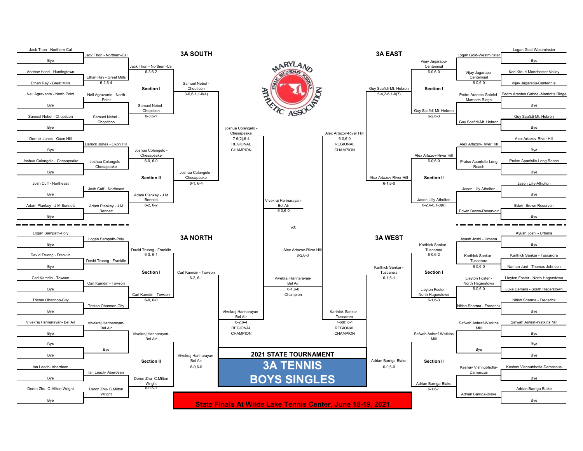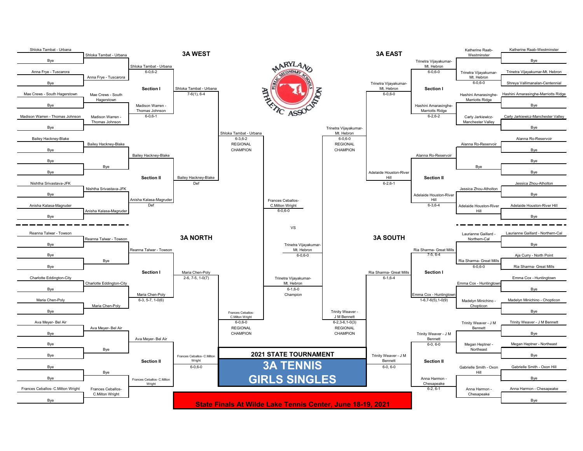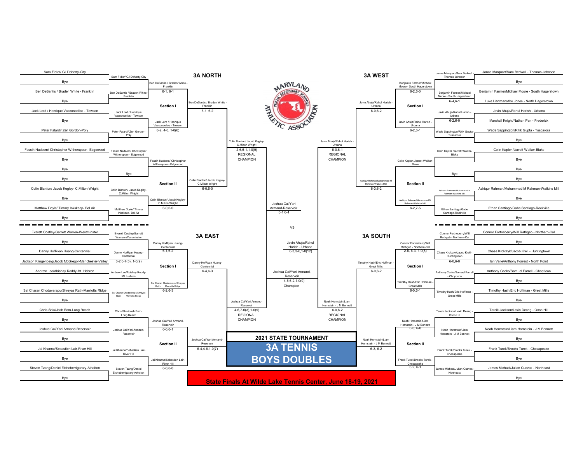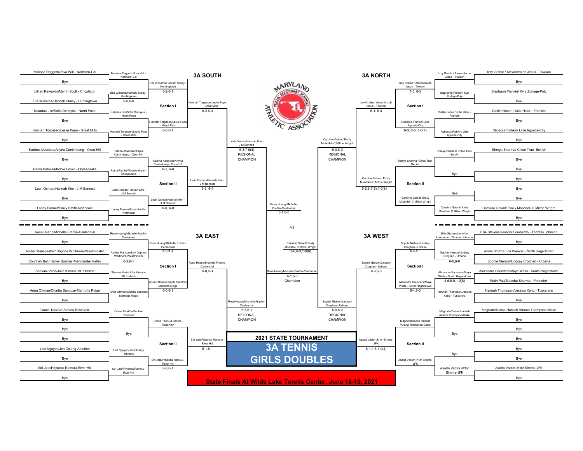